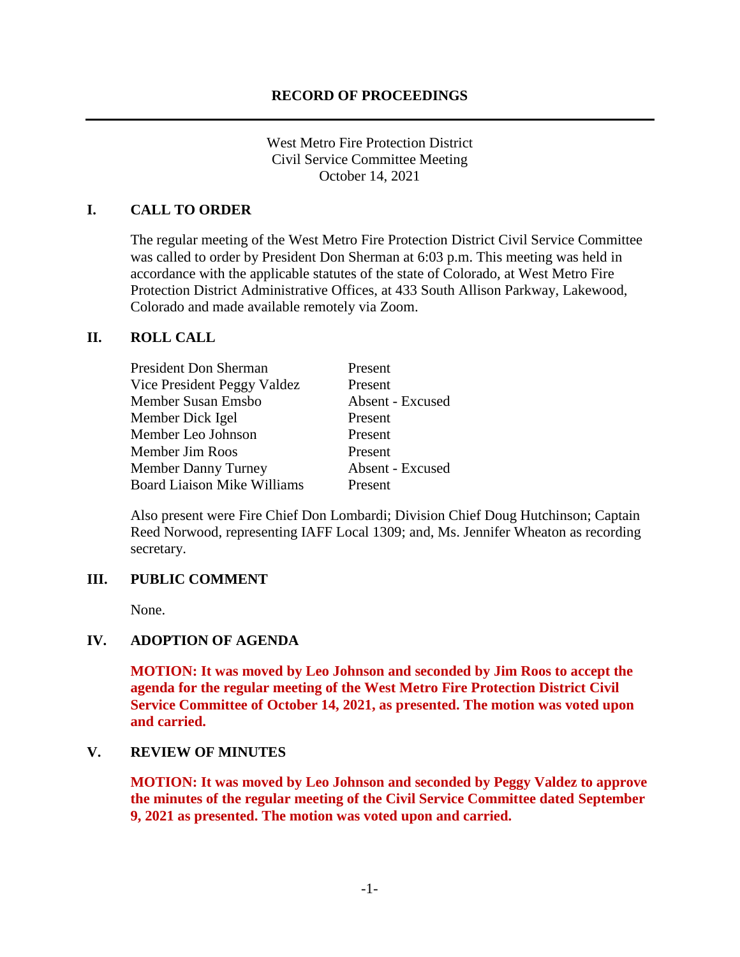West Metro Fire Protection District Civil Service Committee Meeting October 14, 2021

# **I. CALL TO ORDER**

The regular meeting of the West Metro Fire Protection District Civil Service Committee was called to order by President Don Sherman at 6:03 p.m. This meeting was held in accordance with the applicable statutes of the state of Colorado, at West Metro Fire Protection District Administrative Offices, at 433 South Allison Parkway, Lakewood, Colorado and made available remotely via Zoom.

### **II. ROLL CALL**

| <b>President Don Sherman</b>       | Present          |
|------------------------------------|------------------|
| Vice President Peggy Valdez        | Present          |
| Member Susan Emsbo                 | Absent - Excused |
| Member Dick Igel                   | Present          |
| Member Leo Johnson                 | Present          |
| Member Jim Roos                    | Present          |
| Member Danny Turney                | Absent - Excused |
| <b>Board Liaison Mike Williams</b> | Present          |

Also present were Fire Chief Don Lombardi; Division Chief Doug Hutchinson; Captain Reed Norwood, representing IAFF Local 1309; and, Ms. Jennifer Wheaton as recording secretary.

## **III. PUBLIC COMMENT**

None.

## **IV. ADOPTION OF AGENDA**

**MOTION: It was moved by Leo Johnson and seconded by Jim Roos to accept the agenda for the regular meeting of the West Metro Fire Protection District Civil Service Committee of October 14, 2021, as presented. The motion was voted upon and carried.**

### **V. REVIEW OF MINUTES**

**MOTION: It was moved by Leo Johnson and seconded by Peggy Valdez to approve the minutes of the regular meeting of the Civil Service Committee dated September 9, 2021 as presented. The motion was voted upon and carried.**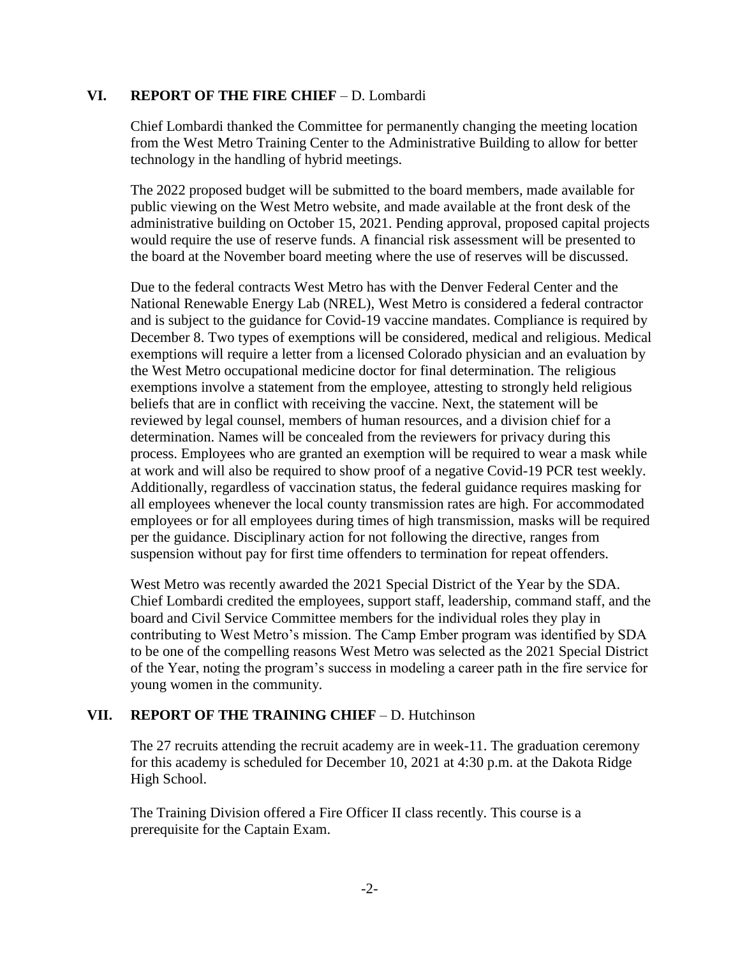#### **VI. REPORT OF THE FIRE CHIEF** – D. Lombardi

Chief Lombardi thanked the Committee for permanently changing the meeting location from the West Metro Training Center to the Administrative Building to allow for better technology in the handling of hybrid meetings.

The 2022 proposed budget will be submitted to the board members, made available for public viewing on the West Metro website, and made available at the front desk of the administrative building on October 15, 2021. Pending approval, proposed capital projects would require the use of reserve funds. A financial risk assessment will be presented to the board at the November board meeting where the use of reserves will be discussed.

Due to the federal contracts West Metro has with the Denver Federal Center and the National Renewable Energy Lab (NREL), West Metro is considered a federal contractor and is subject to the guidance for Covid-19 vaccine mandates. Compliance is required by December 8. Two types of exemptions will be considered, medical and religious. Medical exemptions will require a letter from a licensed Colorado physician and an evaluation by the West Metro occupational medicine doctor for final determination. The religious exemptions involve a statement from the employee, attesting to strongly held religious beliefs that are in conflict with receiving the vaccine. Next, the statement will be reviewed by legal counsel, members of human resources, and a division chief for a determination. Names will be concealed from the reviewers for privacy during this process. Employees who are granted an exemption will be required to wear a mask while at work and will also be required to show proof of a negative Covid-19 PCR test weekly. Additionally, regardless of vaccination status, the federal guidance requires masking for all employees whenever the local county transmission rates are high. For accommodated employees or for all employees during times of high transmission, masks will be required per the guidance. Disciplinary action for not following the directive, ranges from suspension without pay for first time offenders to termination for repeat offenders.

West Metro was recently awarded the 2021 Special District of the Year by the SDA. Chief Lombardi credited the employees, support staff, leadership, command staff, and the board and Civil Service Committee members for the individual roles they play in contributing to West Metro's mission. The Camp Ember program was identified by SDA to be one of the compelling reasons West Metro was selected as the 2021 Special District of the Year, noting the program's success in modeling a career path in the fire service for young women in the community.

## **VII. REPORT OF THE TRAINING CHIEF** – D. Hutchinson

The 27 recruits attending the recruit academy are in week-11. The graduation ceremony for this academy is scheduled for December 10, 2021 at 4:30 p.m. at the Dakota Ridge High School.

The Training Division offered a Fire Officer II class recently. This course is a prerequisite for the Captain Exam.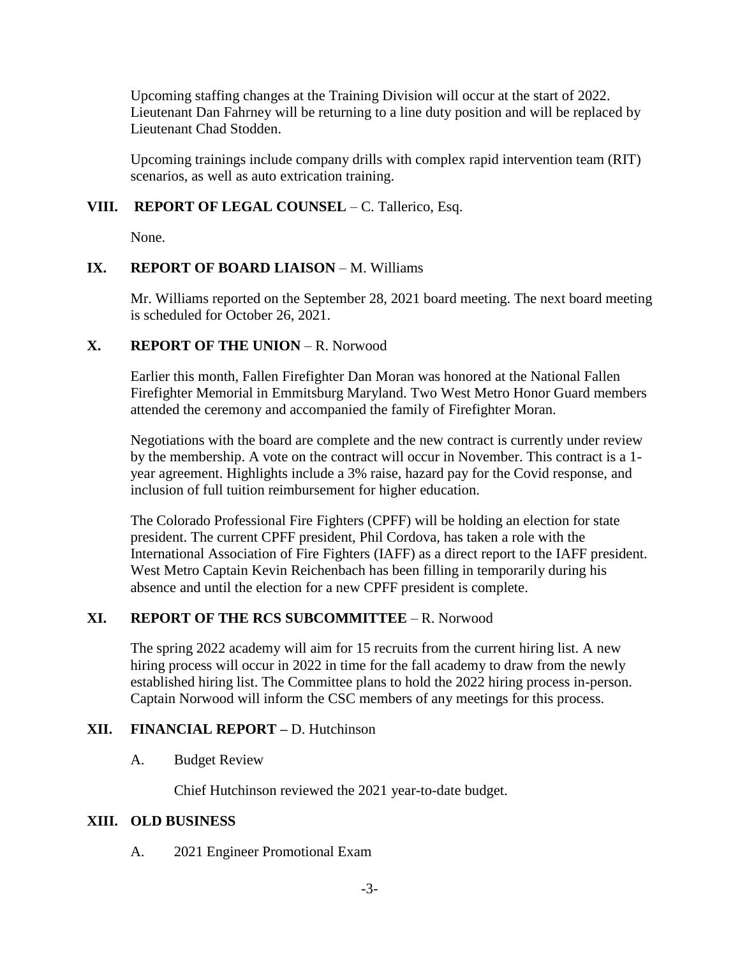Upcoming staffing changes at the Training Division will occur at the start of 2022. Lieutenant Dan Fahrney will be returning to a line duty position and will be replaced by Lieutenant Chad Stodden.

Upcoming trainings include company drills with complex rapid intervention team (RIT) scenarios, as well as auto extrication training.

# **VIII. REPORT OF LEGAL COUNSEL** – C. Tallerico, Esq.

None.

# **IX. REPORT OF BOARD LIAISON – M. Williams.**

Mr. Williams reported on the September 28, 2021 board meeting. The next board meeting is scheduled for October 26, 2021.

# **X. REPORT OF THE UNION** – R. Norwood

Earlier this month, Fallen Firefighter Dan Moran was honored at the National Fallen Firefighter Memorial in Emmitsburg Maryland. Two West Metro Honor Guard members attended the ceremony and accompanied the family of Firefighter Moran.

Negotiations with the board are complete and the new contract is currently under review by the membership. A vote on the contract will occur in November. This contract is a 1 year agreement. Highlights include a 3% raise, hazard pay for the Covid response, and inclusion of full tuition reimbursement for higher education.

The Colorado Professional Fire Fighters (CPFF) will be holding an election for state president. The current CPFF president, Phil Cordova, has taken a role with the International Association of Fire Fighters (IAFF) as a direct report to the IAFF president. West Metro Captain Kevin Reichenbach has been filling in temporarily during his absence and until the election for a new CPFF president is complete.

## **XI. REPORT OF THE RCS SUBCOMMITTEE** – R. Norwood

The spring 2022 academy will aim for 15 recruits from the current hiring list. A new hiring process will occur in 2022 in time for the fall academy to draw from the newly established hiring list. The Committee plans to hold the 2022 hiring process in-person. Captain Norwood will inform the CSC members of any meetings for this process.

## **XII. FINANCIAL REPORT –** D. Hutchinson

## A. Budget Review

Chief Hutchinson reviewed the 2021 year-to-date budget.

## **XIII. OLD BUSINESS**

A. 2021 Engineer Promotional Exam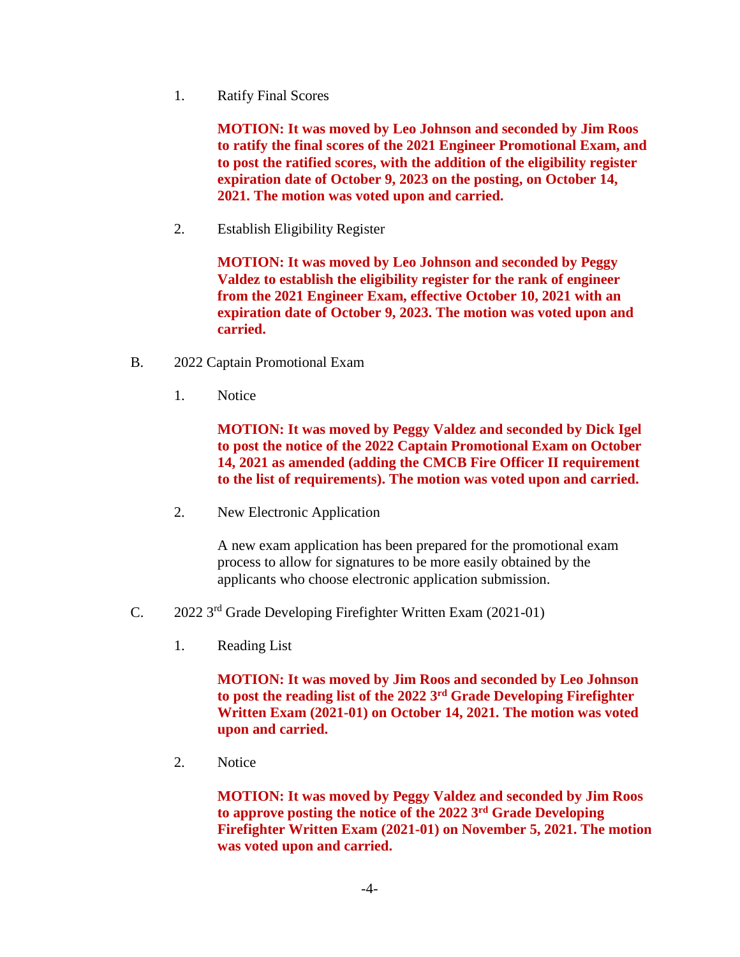1. Ratify Final Scores

**MOTION: It was moved by Leo Johnson and seconded by Jim Roos to ratify the final scores of the 2021 Engineer Promotional Exam, and to post the ratified scores, with the addition of the eligibility register expiration date of October 9, 2023 on the posting, on October 14, 2021. The motion was voted upon and carried.**

2. Establish Eligibility Register

**MOTION: It was moved by Leo Johnson and seconded by Peggy Valdez to establish the eligibility register for the rank of engineer from the 2021 Engineer Exam, effective October 10, 2021 with an expiration date of October 9, 2023. The motion was voted upon and carried.**

- B. 2022 Captain Promotional Exam
	- 1. Notice

**MOTION: It was moved by Peggy Valdez and seconded by Dick Igel to post the notice of the 2022 Captain Promotional Exam on October 14, 2021 as amended (adding the CMCB Fire Officer II requirement to the list of requirements). The motion was voted upon and carried.**

2. New Electronic Application

A new exam application has been prepared for the promotional exam process to allow for signatures to be more easily obtained by the applicants who choose electronic application submission.

- C. 2022 3rd Grade Developing Firefighter Written Exam (2021-01)
	- 1. Reading List

**MOTION: It was moved by Jim Roos and seconded by Leo Johnson to post the reading list of the 2022 3rd Grade Developing Firefighter Written Exam (2021-01) on October 14, 2021. The motion was voted upon and carried.**

2. Notice

**MOTION: It was moved by Peggy Valdez and seconded by Jim Roos to approve posting the notice of the 2022 3rd Grade Developing Firefighter Written Exam (2021-01) on November 5, 2021. The motion was voted upon and carried.**